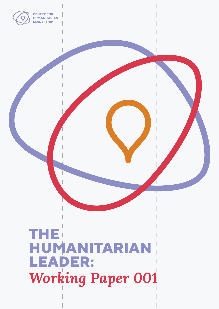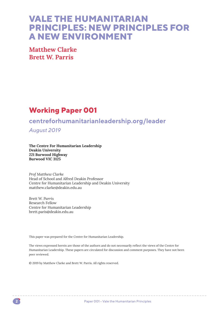# **VALE THE HUMANITARIAN PRINCIPLES: NEW PRINCIPLES FOR A NEW ENVIRONMENT**

**Matthew Clarke Brett W. Parris**

# **Working Paper 001**

# **centreforhumanitarianleadership.org/leader**

*August 2019*

**The Centre For Humanitarian Leadership Deakin University 221 Burwood Highway Burwood VIC 3125**

*Prof Matthew Clarke* Head of School and Alfred Deakin Professor Centre for Humanitarian Leadership and Deakin University matthew.clarke@deakin.edu.au

*Brett W. Parris* Research Fellow Centre for Humanitarian Leadership brett.paris@deakin.edu.au

This paper was prepared for the Centre for Humanitarian Leadership.

The views expressed herein are those of the authors and do not necessarily reflect the views of the Centre for Humanitarian Leadership. These papers are circulated for discussion and comment purposes. They have not been peer reviewed.

© 2019 by Matthew Clarke and Brett W. Parris. All rights reserved.

\_\_\_\_\_\_\_\_\_\_\_\_\_\_\_\_\_\_\_\_\_\_\_\_\_\_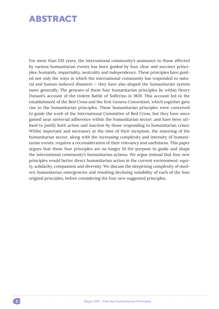# **ABSTRACT**

For more than 150 years, the international community's assistance to those affected by various humanitarian events has been guided by four clear and succinct principles: humanity, impartiality, neutrality and independence. These principles have guided not only the ways in which the international community has responded to natural and human-induced disasters — they have also shaped the humanitarian system more generally. The geneses of these four humanitarian principles lie within Henry Dunant's account of the violent Battle of Solferino in 1859. This account led to the establishment of the Red Cross and the first Geneva Convention, which together gave rise to the humanitarian principles. These humanitarian principles were conceived to guide the work of the International Committee of Red Cross, but they have since gained near universal adherence within the humanitarian sector, and have been utilised to justify both action and inaction by those responding to humanitarian crises. Whilst important and necessary at the time of their inception, the maturing of the humanitarian sector, along with the increasing complexity and intensity of humanitarian events, requires a reconsideration of their relevancy and usefulness. This paper argues that these four principles are no longer fit-for-purpose to guide and shape the international community's humanitarian actions. We argue instead that four new principles would better direct humanitarian action in the current environment: equity, solidarity, compassion and diversity. We discuss the deepening complexity of modern humanitarian emergencies and resulting declining suitability of each of the four original principles, before considering the four new suggested principles.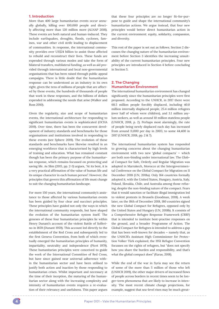### **1. Introduction**

More than 400 large humanitarian events occur annually globally, killing over 100,000 people and directly affecting more than 120 million more (ALNAP 2018). These events are both natural and human-induced. They include earthquakes, droughts, floods, cyclones, famines, war and other civil strife leading to displacement of communities. In response, the international community provides over US\$24 billion to assist those affected to rebuild and reconstruct their lives. These funds are expended through various modes and take the form of bilateral transfers, multilateral funding, as well as aid provided through international and local non-governmental organisations that has been raised through public appeal campaigns. There is little doubt that the humanitarian response can be understood as an industry in its own right, given the tens of millions of people that are affected by these events, the hundreds of thousands of people that work in these responses, and the billions of dollars expended in addressing the needs that arise (Walker and Russ 2010).

Given the regularity, size and scope of humanitarian events, the international architecture for responding to significant humanitarian events is sophisticated (OCHA 2019). Over time, there has been the concurrent development of industry standards and benchmarks for those organisations and institutions involved in responding to these events (see Sphere 2019). The evolution of these standards and benchmarks have likewise resulted in an emerging workforce that is characterised by high levels of training and education. What has remained constant though has been the primary purpose of the humanitarian response, which remains focussed on protecting and saving life. As Slim (2015, pp. 2-3) argues, "At its best, it is a very practical affirmation of the value of human life and its unique character in each human person". However, the principles that govern this affirmation of life must change to suit the changing humanitarian landscape.

For more 150 years, the international community's assistance to those affected by various humanitarian events has been guided by four clear and succinct principles. These principles have guided not only the ways in which the international community responds, but have shaped the evolution of the humanitarian system itself. The geneses of these four humanitarian principles lie within Henry Dunant's account of the violent Battle of Solferino in 1859 (Dunant 1959). This account led directly to the establishment of the Red Cross and subsequently led to the first Geneva Convention, from both of which eventually emerged the humanitarian principles of humanity, impartiality, neutrality and independence (Picet 1979). These humanitarian principles were conceived to guide the work of the International Committee of Red Cross, but have since gained near universal adherence within the humanitarian sector and have been utilised to justify both action and inaction by those responding to humanitarian crises. Whilst important and necessary at the time of their inception, the maturing of the humanitarian sector along with the increasing complexity and intensity of humanitarian events requires a re-evaluation of their relevancy and usefulness. This paper argues

that these four principles are no longer fit-for-purpose to guide and shape the international community's humanitarian actions. We argue instead, that four new principles would better direct humanitarian action in the current environment: equity, solidarity, compassion, and diversity.

This rest of the paper is set out as follows. Section 2 discusses the changing nature of the humanitarian environment before Section 3 identifies the increasing unsuitability of the current humanitarian principles. Four new principles are introduced in Section 4 before concluding in Section 5.

## **2. The Changing Humanitarian Environment**

The international humanitarian environment has changed significantly since the humanitarian principles were first proposed. According to the UNHCR, in 2017 there were 68.5 million people forcibly displaced, including 40.0 million internally displaced people, 25.4 million refugees (over half of whom were children), and 3.1 million asylum seekers, as well as around 10 million stateless people (UNHCR, 2018, p. 2). Perhaps most alarmingly, the rate of people being newly displaced each day has increased from around 11,000 per day in 2003, to some 44,400 in 2017 (UNHCR, 2018, pp. 2 & 7).

The international humanitarian system has responded to growing concerns about the changing humanitarian environment with two new 'global compacts' — which are both non-binding under international law. The Global Compact for Safe, Orderly and Regular Migration was adopted in Marrakech, Morocco at the Intergovernmental Conference on the Global Compact for Migration on 11 December 2018 (UN, 2018a). Only 164 countries formally adopted it, with the United States, Hungary, Austria, Italy, Poland, Slovakia, Chile, and Australia among those refusing, despite the non-binding nature of the compact. Fears that it would sanction or facilitate illegal immigration led to violent protests in Brussels (Goodman, 2018). A week later, on the 18th of December 2018, 180 countries signed the new Global Compact for Refugees, opposed only by the United States and Hungary (UN, 2018b). It consists of a Comprehensive Refugee Response Framework (CRRF) that is intended to institute best-practise responses on the ground, and a broader Programme of Action. The Global Compact for Refugees is intended to address a gap that has been well-known for decades — namely that, as the UNHCR's Assistant High Commissioner for Protection Volker Türk explained, the 1951 Refugee Convention focusses on the rights of refugees, but "does not specify how you share the burden and responsibility, and that's what the global compact does" (Karas, 2018).

While the end of the war in Syria may see the return of some of the more than 5 million of those who left (UNHCR 2019), the other major drivers of increased flows of people across borders in recent times seem to be longer-term phenomena that are likely to increase in intensity. The most recent climate change projections, for example, suggest that sea-level rises may be much great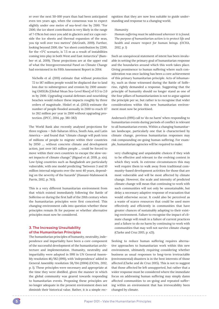er over the next 50-100 years than had been anticipated even ten years ago, when the consensus was to expect slightly under one metre of sea-level rise by 2100. "For 2100, the ice sheet contribution is very likely in the range of 7-178cm but once you add in glaciers and ice caps outside the ice sheets and thermal expansion of the seas, you tip well over two metres" (McGrath, 2019). Further, looking beyond 2100, the "ice sheet contribution by 2200, for the +5°C scenario, is 7.5 m as a result of instabilities coming into play in both West and East Antarctica" (Bamber et al. 2019). These projections are at the upper end of what the Intergovernmental Panel on Climate Change had envisioned in its Fifth Assessment Report in 2014:

Nicholls et al. (2011) estimate that without protection 72 to 187 million people would be displaced due to land loss due to submergence and erosion by 2100 assuming GMSLRs [Global Mean Sea-Level Rises] of 0.5 to 2.0 m by 2100. Upgrading coastal defenses and nourishing beaches would reduce these impacts roughly by three orders of magnitude. Hinkel et al. (2013) estimate the number of people flooded annually in 2100 to reach 117 to 262 million per year in 2100 without upgrading protection. (IPCC, 2014, pp. 381-382)

The World Bank also recently analysed projections for three regions — Sub-Saharan Africa, South Asia, and Latin America — and found that "climate change will push tens of millions of people to migrate within their countries by 2050 .... without concrete climate and development action, just over 143 million people ... could be forced to move within their own countries to escape the slow-onset impacts of climate change." (Rigaud et al. 2018, p. xix). Low-lying countries such as Bangladesh are particularly vulnerable, with one model predicting "between 3 and 10 million internal migrants over the next 40 years, depending on the severity of the hazards" (Hassani-Mahmooei & Parris, 2012, p. 763).

This is a very different humanitarian environment from that which existed immediately following the Battle of Solferino or during the first half of the 20th century when the humanitarian principles were first conceived. This changing environment calls into question whether these principles remain fit for purpose or whether alternative principles must now be considered.

# **3. The Increasing Unsuitability of the Humanitarian Principles**

The humanitarian principles of humanity, neutrality, independence and impartiality have been a core component of the successful development of the humanitarian architecture and implementation. Humanity, neutrality and impartiality were adopted in 1991 in UN General Assembly resolution 46/182 (1991), with 'independence' added in General Assembly resolution 58/114 (2004) (OCHA, 2012, p. 1). These principles were necessary and appropriate at the time they were distilled, given the manner in which the global community was geared towards responding to humanitarian events. Proposing these principles are no longer adequate in the present environment does not diminish their historical value. Rather, it is a simple recognition that they are now less suitable to guide understanding and response to a changing world.

# *Humanity*

*Human suffering must be addressed wherever it is found. The purpose of humanitarian action is to protect life and health and ensure respect for human beings. (OCHA, 2012, p. 1)*

Such an unequivocal statement of intent has been invaluable in setting the primary goal of humanitarian response and the boundaries around which this work takes place. Giving prominence to human suffering where such consideration was once lacking has been a core achievement of this primary humanitarian principle. Acts of inhumanity, such as those witnessed during the Battle of Solferino, rightly demanded a response. Suggesting that the principle of humanity should no longer stand as one of the four pillars of humanitarianism is not to argue against the principle per se, but rather is to recognise that wider considerations within this new humanitarian environment must now be prioritised.

Anderson's (1991) call to 'do no harm' when responding to humanitarian events during periods of conflict is relevant to all humanitarian events. Within a changing humanitarian landscape, particularly one that is characterised by climate change, previous humanitarian responses may risk compounding on-going human suffering. For example, humanitarian agencies will be required to make:

very challenging and unpalatable choices if they wish to be effective and relevant to the evolving context in which they work. In extreme circumstances this may well require them to walk away from traditional community-based development activities for those that are most vulnerable and will be most affected by climate change. However, the scale and intensity of predicted climate change will mean that continuing to work with such communities will not only be unsustainable, but delay a necessary adaptive response of evacuation that would otherwise occur. It could also be perceived as a waste of scarce resources that could be used more effectively and efficiently in communities that have greater chances of sustainably adapting to their existing environment. Failure to recognise the impact of climate change will result in a failure of current practices and a failure to do no harm by continuing to work with communities that may well not survive climate change (Clarke and Cruz 2015, p. s21).

Seeking to reduce human suffering requires alternative approaches to humanitarian work within this new environment, ultimately requiring considering whether business as usual responses to long-term irretractable (environmental) disasters is in the best interests of those affected (Clarke and de Cruz 2015). This is not to suggest that those affected be left unsupported, but rather that a wider response must be considered where the immediate focus on addressing human suffering may simply damn affected communities to on-going and repeated suffering within an environment that has irrevocability been changed by climate.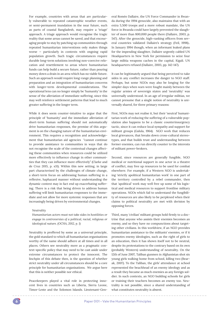For example, countries with areas that are particularly vulnerable to repeated catastrophic weather events, or semi-permanent inundation in the near future, such as parts of coastal Bangladesh, may require a 'triage' approach. A triage approach would recognise the tragic reality that some areas cannot be saved, and that encouraging people to stay by patching up communities through repeated humanitarian interventions only makes things worse — particularly in contexts with ongoing rapid population growth. Such tragic circumstances require durable long-term solutions involving non-coercive relocation and resettlement to areas where humanitarian funds can help build a secure future, rather than pouring money down a drain in an area which has no viable future. Such an approach would require long-range planning and preparation and an integration of humanitarian concerns with longer-term developmental considerations. The operational lens can no longer simply be 'humanity' in the sense of the alleviation of immediate suffering, since this may well reinforce settlement patterns that lead to much greater suffering in the longer term.

While it does seem counter-intuitive to argue that the principle of 'humanity' and the immediate alleviation of short-term human suffering should not automatically drive humanitarian responses, the premise of this argument is on the changing nature of the humanitarian environment. This requires a recognition and acknowledgement that humanitarian aid agencies "cannot continue to provide assistance to communities in ways that do not recognise the scale of the contextual changes affecting these communities when resources could be utilized more effectively to influence change in other communities that they can influence more effectively" (Clarke and de Cruz 2015, p. s31). Within this new setting, in large part characterised by the challenges of climate change, a short-term focus on addressing human suffering in a reflexive, haphazard manner without understanding the dynamic context may in fact end up exacerbating suffering. There is a risk that being driven to address human suffering will limit humanitarian responses to the immediate and not allow for more systemic responses that are increasingly being driven by environmental changes.

#### *Neutrality*

*Humanitarian actors must not take sides in hostilities or engage in controversies of a political, racial, religious or ideological nature. (OCHA, 2012, p. 1)*

Neutrality is proffered by some as a universal principle, the gold standard to which all humanitarian organisations worthy of the name should adhere at all times and in all places. Others see neutrality more as a pragmatic context-specific policy that may need to be cast aside under extreme circumstances to protect the innocent. The linchpin of this debate then, is the question of whether strict neutrality under all circumstances should be a core principle for humanitarian organisations. We argue here that this is neither possible nor ethical.

Peacekeepers played a vital role in protecting innocent lives in countries such as Liberia, Sierra Leone, Timor-Leste and the Solomon Islands. Lieutenant-Gen-

eral Roméo Dallaire, the UN Force Commander in Rwanda during the 1994 genocide, also maintains that with an extra 5,500 troops and a more robust mandate, the UN force in Rwanda could have largely prevented the slaughter of more than 800,000 people there (Dallaire, 2003, p. 547). After the genocide, high-ranking officers from several countries validated Dallaire's strategy (Feil, 1998).. In January 1994 though, when an informant leaked plans for the impending slaughter, Dallaire urgently cabled UN Headquarters in New York for permission to seize four large militia weapons caches in the capital, Kigali. UN headquarters refused (Dallaire, 2003, pp. 142-147).

It can be legitimately argued that being perceived to take sides in any conflict increases the danger to NGO staff. Perhaps, but some NGOs may also be longing for the simpler days when wars were fought mainly between the regular armies of sovereign states and 'neutrality' was universally understood. In an age of irregular militias, we cannot presume that a single notion of neutrality is universally shared, for three primary reasons:

First, NGOs may not realise it, but their 'neutral' humanitarian work of reducing the suffering of a vulnerable population also happens to be a classic counterinsurgency tactic, since it can reduce local sympathy and support for militant groups (Galula, 1964). NGO work that reduces local grievances, that breaks down cross-cultural stereotypes, and that builds trust and understanding between former enemies, can run directly counter to the interests of militant power-brokers.

Second, since resources are generally fungible, NGO medical or nutritional support in one actor in a theatre of conflict, may free up resources to be used for combat elsewhere. For example, if a Western NGO is undertaking 'strictly apolitical humanitarian work' in one part of the territory controlled by a rebel commander, then that 'apolitical' work may well free up some of his logistical and medical resources to support frontline military operations. NGOs which fail to understand the fungibility of resources are also likely to be perplexed when their claims to political neutrality are met with derision by opposing forces.

Third, many 'civilian' militant groups hold firmly to a doctrine that anyone who assists their enemies becomes an enemy, and so they have no compunctions about targeting other civilians. In this worldview, if an NGO provides humanitarian assistance to the militants' enemies, or if it promotes enemy ideologies, such as the right of girls to an education, then it has shown itself not to be neutral, despite its protestations to the contrary based on its own (probably Western) understanding of neutrality. On the 12th of June 2007, Taliban gunmen in Afghanistan shot six young girls walking home from school, killing two (Bearak, 2007). To the Taliban, the girls' attendance at school represented the beachhead of an enemy ideology and as a result they became as much enemies as any foreign soldier. In such contexts, an NGO building schools for girls or training their teachers becomes an enemy too. Neutrality is not possible, since a shared understanding of what constitutes neutrality is absent.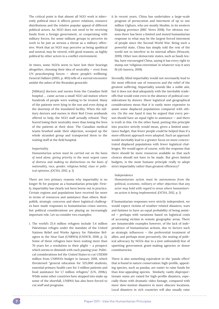The critical point is that almost all NGO work is inherently political since it affects power relations, resource distributions and the relative popular appeal of different political actors. An NGO does not need to be receiving funds from a foreign government, or cooperating with military forces, for some militant groups to perceive its work to be just as serious a threat as a military offensive. Work that an NGO may perceive as being apolitical and neutral, may be viewed, with good reasons, as highly political by other actors in a conflict environment.

At times, some NGOs seem to have lost their bearings altogether, choosing their idea of neutrality — even from UN peacekeeping forces — above people's wellbeing. General Dallaire (2003, p. 493) tells of a surreal encounter amidst the ashes of the Rwandan genocide:

[Military] doctors and nurses from the Canadian field hospital … came across a small NGO aid station where hundreds of people were waiting to be treated. Many of the patients were lying in the sun and even dying at the doorstep of the inundated facility. When the military doctors and nurses in their Red Cross armbands offered to help, the NGO staff actually refused. They feared losing their neutrality more than losing the lives of the patients at their door. The Canadian medical teams brushed aside their objection, scooped up the whole stranded group and transported them to the waiting staff at the field hospital.

#### *Impartiality*

*Humanitarian action must be carried out on the basis of need alone, giving priority to the most urgent cases of distress and making no distinctions on the basis of nationality, race, gender, religious belief, class or polit‑ ical opinions. (OCHA, 2012, p. 1)*

There are two primary reasons why impartiality is no longer fit for purpose as a humanitarian principle: Firstly, impartiality has clearly not been borne out in practice. Certain regions and populations have received far more in terms of resources and assistance than others. Realpolitik, strategic concerns and sheer logistical challenges have made responses to humanitarian crises uneven, but political considerations are playing an increasingly important role. Let us consider two examples:

i. The world's 25.4 million refugees include 5.4 million Palestinian refuges under the mandate of the United Nations Relief and Works Agency for Palestine Refugees in the Near East (UNRWA) (UNHCR, 2018, p. 2). Some of these refugees have been waiting more than 70 years for a resolution to their plight — a prospect which seems to diminish with each passing year. Political considerations led the United States to cut US\$300 million from UNRWA's budget in January 2018, which threatened "general education for 525,000 students, essential primary health care for 3 million patients and food assistance for 1.7 million refugees." (UN, 2018c). While some other countries have stepped into make up some of the shortfall, UNRWA has also been forced to cut staff and programs.

ii. In recent years, China has undertaken a large-scale program of persecution and interment of up to one million Uighurs, who are mostly Muslim, in its western Xinjiang province (BBC News 2018). For obvious reasons there has been a limited and muted humanitarian response to what may be the largest forced interment of people since the Second World War. Being such a powerful state, China has simply told the rest of the world not to interfere in its internal affairs (Wescott, 2019). Other non-democratic states, such as Saudi Arabia, have encouraged China, saying it has every right to stamp out 'religious extremism' in whatever way it sees fit (Al-Jazeera, 2019).

Secondly, blind impartiality would not necessarily lead to the most efficient use of resources and the relief of the greatest suffering. Impartiality sounds like a noble aim, but it does not deal adequately with the inevitable tradeoffs that would exist even in the absence of political considerations by donors. Sheer logistical and geographical considerations mean that it is vastly more expensive to assist some displaced populations compared with others. On the one hand it may be argued that every person should have an equal right to assistance — and there is truth in this. On the other hand, putting this principle into practice strictly would mean, given a limited assistance budget, that fewer people could be helped than if a more efficient approach were adopted. Such an approach would inevitably lead to a greater focus on more concentrated displaced populations with fewer logistical challenges. We would agree of course, with the response that there should be more resources available so that such choices should not have to be made. But given limited budgets, is the most humane principle really to adopt strict impartiality rather than greatest efficiency?

#### *Independence*

*Humanitarian action must be autonomous from the political, economic, military or other objectives that any actor may hold with regard to areas where humanitari‑ an action is being implemented. (OCHA, 2012, p. 1)*

If humanitarian responses were strictly independent, we would expect victims of weather-related disasters, wars and famines to have an equal probability of being assisted — perhaps with variations based on logistical costs of accessing victims in remote geographic areas. There are innumerable examples however, of the lack of independence of humanitarian actions, due to factors such as strategic influences — the preferential treatment of allies, and perhaps most pervasively, the muting of political advocacy by NGOs due to a (not unfounded) fear of upsetting government grant-making agencies or donor constituencies.

There is also something equivalent to the 'panda effect' that is found in nature conservation: high-profile, appealing species, such as pandas, are easier to raise funds for than less-appealing species. Similarly, vastly disproportionate sums are raised for high-profile disasters, especially those with dramatic video footage, compared with more slow-motion disasters in more obscure locations. Local disasters in rich countries will also usually raise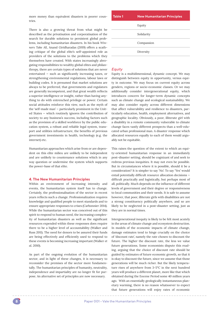more money than equivalent disasters in poorer countries.

There is also a growing threat from what might be described as the privatisation and corporatisation of the search for durable solutions to persistent global problems, including humanitarian disasters. In his book *Win‑ ners Take All*, Anand Giridharadas (2019) offers a scathing critique of the global elite's self-appointed role as providers of the solutions to the problems which they themselves have created. With states increasingly abrogating responsibilities to wealthy global elites and philanthropy, there are certain types of solutions that are never entertained — such as significantly increasing taxes, or strengthening environmental regulations, labour laws or building codes. It is presumed that market solutions are always to be preferred, that governments and regulators are generally incompetent, and that great wealth reflects a superior intelligence or insight, rather than having anything to do with entrenched privilege or power. Certain social attitudes reinforce this view, such as the myth of the 'self-made man' — particularly prominent in the United States — which routinely ignores the contribution of society to any business's success, including factors such as the provision of a skilled workforce by the public education system, a robust and reliable legal system, transport and utilities infrastructure, the benefits of previous government investments in health, technology (e.g. the internet) etc.

Humanitarian approaches which arise from or are dependent on this elite milieu are unlikely to be independent and are unlikely to countenance solutions which in any way question or undermine the system which supports the power-base of that elite.

#### **4. The New Humanitarian Principles**

Within an environment of increasing intensity and events, the humanitarian system itself has to change. Certainly, the professionalisation of the sector in recent years reflects such a change. Professionalization requires knowledge and qualified people to meet standards and to ensure appropriate responses to crises (Carbonnier 2014). While the humanitarian sector was conceived out of this spirit to respond to human need, the increasing complexity of humanitarian disasters as well as the significant resources expended within these responses does require there to be a higher level of accountability (Walker and Russ 2011). The need for donors to be assured their funds are being effectively and efficiently used to respond to these events is becoming increasing important (Walker *et al*. 2010).

As part of the ongoing evolution of the humanitarian sector, and in light of these changes, it is necessary to reconsider the premises of the sector more fundamentally. The humanitarian principles of humanity, neutrality, independence and impartiality are no longer fit for purpose. An alternative set of principles are now necessary.



#### *Equity*

Equity is a multidimensional, dynamic concept. We may distinguish between equity in opportunity, versus equity in outcome. We may focus on current equity across genders, regions or socio-economic classes. Or we may additionally consider intergenerational equity, which introduces concern for longer-term dynamic concepts such as climate change and ecological sustainability. We may also consider equity across different dimensions that affect vulnerability and resilience to disasters, particularly education, health, employment alternatives, and geographic locality. Obviously, a poor, illiterate girl with a disability in a remote community vulnerable to climate change faces vastly different prospects than a well-educated urban professional man. A disaster response which allocated resources equally to each of them would arguably not be equitable.

This raises the question of the extent to which an equity-oriented humanitarian response in an immediately post-disaster setting, should be cognizant of and seek to redress previous inequities. It may not even be possible. But in circumstances where it is possible, should it be a consideration? It is simpler to say 'No'. To say 'Yes' would entail potentially difficult resource allocation decisions difficult practically and logistically, but perhaps most of all, politically. Much depends on the influence of different levels of government and their degree or responsiveness to local communities and their needs. It is safe to assume however, that poor, illiterate girls with disabilities are not a strong constituency politically anywhere, and so are likely to be neglected in a post-disaster setting, just as they are in normal times.

Intergenerational inequity is likely to be felt most acutely in the areas of climate change and ecosystem destruction. In models of the economic impacts of climate change, damage estimates tend to hinge crucially on the choice of 'discount rate', namely the rate chosen to discount the future. The higher the discount rate, the less we value future generations. Some economists dispute this reading, arguing that the choice of discount rate should be guided by estimates of future economic growth, so that it is okay to discount the future, since we assume that those generations will be much richer. But the likely temperature rises of anywhere from 3-5°C in the next hundred years will produce a different planet, more like that which obtained during the Eocene Period some 40 million years ago. With an essentially geologically instantaneous planetary warming, there is no reason whatsoever to expect that future generations will enjoy rates of economic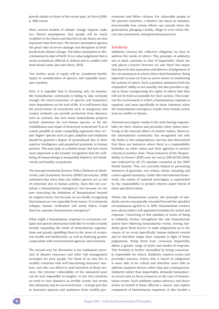growth similar to those of the recent past. As Stern (2016, p. 408) warns:

Most current models of climate change impacts make two flawed assumptions: that people will be much wealthier in the future and that lives in the future are less important than lives now. The former assumption ignores the great risks of severe damage and disruption to livelihoods from climate change. The latter assumption is 'discrimination by date of birth'. It is a value judgement that is rarely scrutinized, difficult to defend and in conflict with most moral codes. (see also Stern, 2013).

Two further areas of equity will be considered briefly: equity in consideration of species, and equitable insurance markets.

First, it is arguable that in focussing only on humans, the humanitarian community is failing to take seriously enough the interconnection of species and humanity's utter dependence on the web of life. It is well known that the preservation of ecosystems such as mangroves and coastal wetlands can provide protection from disasters such as cyclones. But how many humanitarian projects include assistance for non-human species, or for the rehabilitation and repair of destroyed ecosystems? It is of course possible to make compelling arguments that certain 'higher' species such as apes, dolphins and elephants should be granted a degree of 'personhood' due to their superior intelligence and purported proximity to human persons. This may help, in a limited sense. But how much more important is the broader recognition that the wellbeing of human beings is inseparably linked to rich biodiversity and healthy ecosystems.

The Intergovernmental Science-Policy Platform on Biodiversity and Ecosystem Services (IPBES Secretariat, 2019) estimated that more than one million species are at risk of extinction due to human activity. Does this not constitute a humanitarian emergency? Not because we are now stretching the definition of 'humanitarian' beyond its original intent, but because we are finally recognising that humans are not separable from nature. If ecosystems collapse, human 'civilization' will surely follow. Could there be a greater humanitarian emergency?

What might a humanitarian response to ecosystem collapse and species destruction look like? It would certainly include expanding the remit of humanitarian organisations and greatly upskilling them in the areas of ecosystem health and biodiversity, as well as fostering greater cooperation with environmental agencies and scientists.

The second area for discussion is the inadequate provision of disaster insurance and other risk management strategies for poor people. For those of us who live in wealthy countries with well-functioning insurance markets, and who can afford to avail ourselves of those services, the extreme vulnerability of the uninsured poor can be near impossible to imagine. In the rich countries we tend to view disasters as terrible events, but events that ultimately may be recovered from — in large part due to insurance payouts and assistance from wealthy governments and fellow citizens. For vulnerable people in the poorest countries, a disaster can mean an absolute, irrecoverable loss, whose effects can cascade down the generations, plunging a family, village or even entire district into permanent, intergenerational poverty.

# *Solidarity*

Solidarity conveys the collective obligation we have to address the needs of others. This principle of solidarity sits in stark contrasts to that of impartiality which not only places a barrier between 'us' and 'them' but insists that there be this separation and absence of judgement of the circumstances in which others find themselves. Being impartial recuses us from an active stance in monitoring the actions of others. Such a position minimises both the responders' ability to act soundly, but also provides a signal to those transgressing the rights of others that they will not be held accountable for their actions. This weakens the environment in which a humanitarian response is required, and most specifically in those instances when the humanitarian emergency results from human action such as conflict or famine.

National sovereignty results in the state having responsibility for their citizens and precludes other states interfering in the internal affairs of another nation. However, the international community has recognised not only the limits to this independence, but has also determined that there are instances where there is a responsibility beholden on other states and their agencies to protect citizens in another state. These instances of the 'Responsibility to Protect' (R2P) were set out in 2001 (ICISS 2001), and endorsed by all UN member countries at the 2005 World Summit. They are currently limited to preventing instances of genocide, war crimes, ethnic cleansing and crimes against humanity. Under this international framework, the notion of national sovereignty is superseded by the responsibility to protect citizens under threat of these specified actions.

Within the humanitarian context, the principle of solidarity can be conceptually extended beyond the specified circumstances agreed to in 2001. Humanitarian workers have always held a self-appointed mandate for action and response. Conceiving of this mandate in terms of being in solidarity further strengthens the role humanitarian actors have following humanitarian events. Having solidarity gives them licence to make judgements as to the causes of an event (specifically human-induced events) and to therefore shape their response in light of these judgements. Being freed from conscious impartiality allows a greater range of styles and modes of response. This freedom is further intensified by being consciously responsible for others. Solidarity requires action and precludes inaction. Action that is based on judgement is more able to be critical and therefore more able to address causation factors rather than just consequences. Solidarity rather than impartiality, demands humanitarian actors seek to focus resources at the core of humanitarian events. Such solidarity makes advocacy and direct action on behalf of those affected a clearer and explicit component of humanitarian responses. It also heralds a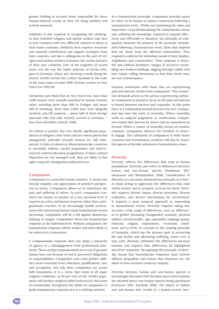greater holding to account those responsible for these human-induced events as they are being publicly and actively assessed.

Solidarity is also required in recognising the challenges that resettled refugees and asylum seekers may face in new countries with very different cultures to those in their home countries. Solidarity here requires resources and nuanced resettlement and support strategies from host countries, and also a willingness on the part of refugees and asylum-seekers to honour the norms and laws of their new countries. One of the tragedies of recent years was the way the initial welcome of Syrian refugees in Germany, which saw cheering crowds lining the streets, swiftly turned into a bitter backlash in the wake of the mass rapes of some 1200 German women on New Year's Eve 2015/16:

Authorities now think that on New Year's Eve, more than 1,200 women were sexually assaulted in various German cities, including more than 600 in Cologne and about 400 in Hamburg. More than 2,000 men were allegedly involved, and 120 suspects — about half of them foreign nationals who had only recently arrived in Germany have been identified. (Noack, 2016).

No culture is perfect, but very clearly, significant populations of refugees come from cultures where patriarchal misogynistic attitudes towards women are still widespread. A clash of cultures in liberal democratic countries is inevitable without careful preparation and well-resourced cultural education programmes. If these cultural disparities are not managed well, they are likely to fuel right-wing anti-immigration political forces.

## *Compassion*

Compassion is a powerful human emotion. It moves one beyond empathy and appreciation of another's perspective to action. Compassion allows us to experience the pain and suffering of others. As such, compassion connects one human to another at a very personal level. It requires an active and human response rather than a programmatic reaction. In an increasingly hostile environment with natural and human-made humanitarian events increasing, compassion will be a foil against disinterest, lethargy or fatigue. Compassion drives the humanitarian response at the individual level. Without compassion, the humanitarian response will be weaker and more likely to be reduced to a transaction.

A compassionate response does not imply a hierarchy of agency or a disengagement from professional standards. Those acting compassionately do so out of genuine human love, not because of real or perceived obligations or responsibilities. Compassion cuts cross gender, abilities, socio-economic level, education, qualifications, race and occupation. Not only does compassion cut across faith boundaries, it is a virtue that exists in all major religious traditions. As 85 per cent of the world's population self-profess religious belief (reference?), this point of commonality strengthens the ability of compassion to guide humanitarian response as it is a unifying emotion.

As a humanitarian principle, compassion provides space for there to be human to human connection following a humanitarian event. Whilst not minimising the value and importance of professionalising the humanitarian sector and codifying the knowledge required to respond effectively and efficiently to disasters, the principle of compassion reasserts the primacy of the personal. Immediately following a humanitarian event, those that respond first are those from the affected communities. They respond to address the immediate needs of their families, neighbours and communities. Their response is heartfelt and without hesitation. Images of survivors scrambling over broken buildings, digging through rubble with bare hands, willing themselves to find their loved ones, are now commonplace.

Genuine connection with those that are experiencing pain and distress results from compassion. This connection demands action as the person experiencing authentic compassion is moved to do so as the pain and distress is shared between survivor and responder. At this point there is a relationship formed between the two. Compassion lays bare the myth of neutrality. Where neutrality seeks to suspend judgement or involvement, compassion insists that interest be shown and an association be formed. Where a veneer of neutrality denies an emotive response, compassion delivers the freedom to actively engage. The cultivation of compassion in both donor countries and resettlement countries will also be essential aspects of durable solutions to humanitarian crises.

## *Diversity*

Diversity reflects the differences that exist in human populations. Diversity also refers to differences between human and non-human species (Nussbuam 2017, Narayanan and Bindumadhav 2018). Consideration of diversity is a necessary humanitarian principle as it forces those acting to appreciate the differences that exist within society and to properly account for them. Diversity requires diverse inputs, diverse processes, diverse evaluation, and diverse mechanisms for involvement. It requires a more nuanced approach to responding to humanitarian events. Diversity requires taking into account a wide range of differences, such as: differences in gender (including transgender) sexuality, physical abilities, mental health, , age, nationality, language-group, ethnicity, religion, employment, -economic conditions and so forth. In contrast to the existing principle of humanity, which has the primary goal of protecting life and health and alleviating suffering where ever it may exist, diversity celebrates the differences between humans and requires that differences be highlighted and drive responses. Recognising the principle of diversity means that humanitarian responses must actively address inequalities and ensure that responses are not silent on how societies construct inequity.

Diversity between human and non-human species is increasingly discussed with the basis upon which humans are elevated above non-human species being questioned (Cochrane 2013, Kymlicka 2018). The binary of human and non-human that results in a human-centric hier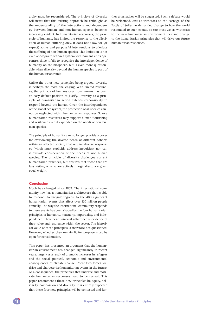archy must be reconsidered. The principle of diversity will insist that this existing approach be rethought as the understanding of the interactions and dependency between human and non-human species becomes increasing evident. In humanitarian responses, the principle of humanity has limited the response to the alleviation of human suffering only. It does not allow for (or expect) active and purposeful interventions to alleviate the suffering of non-human species. This limitation is not even appropriate within a system with humans at its epicentre, since it fails to recognise the interdependence of humanity on the biosphere. But is even more questionable when diversity beyond the human species is part of the humanitarian remit.

Unlike the other new principles being argued, diversity is perhaps the most challenging. With limited resources, the primacy of humans over non-humans has been an easy default position to justify. Diversity as a principle of humanitarian action extends responsibility to respond beyond the human. Given the interdependence of the global ecosystem, the protection of all species cannot be neglected within humanitarian responses. Scarce humanitarian resources may support human flourishing and resilience even if expended on the needs of non-human species.

The principle of humanity can no longer provide a cover for overlooking the diverse needs of different cohorts within an affected society that require diverse responses (which must explicitly address inequities), nor can it exclude consideration of the needs of non-human species. The principle of diversity challenges current humanitarian practices, but ensures that those that are less visible, or who are actively marginalised, are given equal weight.

# **Conclusion**

Much has changed since 1859. The international community now has a humanitarian architecture that is able to respond, to varying degrees, to the 400 significant humanitarian events that affect over 120 million people annually. The way the international community responds to these events has been shaped by the four humanitarian principles of humanity, neutrality, impartiality, and independence. Their near universal adherence is evidence of their value and resonance within the sector. The historical value of these principles is therefore not questioned. However, whether they remain fit for purpose must be open for consideration.

This paper has presented an argument that the humanitarian environment has changed significantly in recent years, largely as a result of dramatic increases in refugees and the social, political, economic and environmental consequences of climate change. These two forces will drive and characterise humanitarian events in the future. As a consequence, the principles that underlie and motivate humanitarian responses need to be revised. This paper recommends these new principles be equity, solidarity, compassion and diversity. It is entirely expected that these four new principles will be contested and further alternatives will be suggested. Such a debate would be welcomed. Just as witnesses to the carnage of the Battle of Solferino demanded change to how the world responded to such events, so too must we, as witnesses to the new humanitarian environment, demand change to the humanitarian principles that will drive our future humanitarian responses.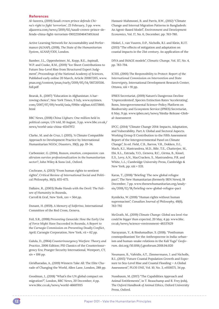### **References**

Al-Jazeera, (2019) *Saudi crown prince defends Chi‑ na's right to fight 'terrorism'*, 23 February, 3 pp. www. aljazeera.com/news/2019/02/saudi-crown-prince-defends-china-fight-terrorism-190223104647149.html

Active Learning Network for Accountability and Performance (ALNAP), (2018), *The State of the Humanitarian System*, ALNAP/ODI, London.

Bamber, J.L., Oppenheimer, M., Kopp, R.E., Aspinall, W.P. and Cooke, R.M., (2019) "Ice Sheet Contributions to Future Sea-Level Rise from Structured Expert Judgment", *Proceedings of the National Academy of Sciences,* Published early online 20 March, Article 201817205, www. pnas.org/content/pnas/early/2019/05/14/1817205116. full.pdf

Bearak, B., (2007) "Education in Afghanistan: A harrowing choice", *New York Times*, 9 July, www.nytimes. com/2007/07/09/world/asia/09iht-afghan.4.6571860. html

BBC News, (2018) *China Uighurs: One million held in political camps, UN told*, 10 August, 3 pp. www.bbc.co.uk/ news/world-asia-china-45147972

Clarke, M. and de Cruz, I. (2015), 'A Climate Compatible Approach to Development Practice by International Humanitarian NGOs', *Disasters*, 39(1), pp. 19-34.

Carbonnier, G. (2014), *Reason, emotion, compassion: can altruism survive professionalization in the humanitarian sector?*, John Wiley & Sons Ltd., Oxford.

Cochrane, A. (2013) "From human rights to sentient rights", *Critical Review of International Social and Politi‑ cal Philosophy, 16*(5), 655-675.

Dallaire, R., (2003) *Shake Hands with the Devil: The Fail‑ ure of Humanity in Rwanda*, Carroll & Graf, New York, xxv + 564 pp.

Dunant, H. (1959). *A Memory of Solferino*, International Committee of the Red Cross, Geneva.

Feil, S.R., (1998) *Preventing Genocide: How the Early Use of Force Might Have Succeeded in Rwanda, A Report to the Carnegie Commission on Preventing Deadly Conflict*, April; Carnegie Corporation, New York, vii + 62 pp.

Galula, D., (1964) *Counterinsurgency Warfare: Theory and Practice*, 2006 Edition; PSI Classics of the Counterinsurgency Era; Praeger Security International, Westport, CT, xiv + 106 pp.

Giridharadas, A., (2019) Winners Take All: The Elite Charade of Changing the World, Allen Lane, London, 288 pp.

Goodman, J., (2018) "What's the UN global compact on migration?", London, BBC News, 20 December, 4 pp. www.bbc.co.uk/news/world-46607015

Hassani-Mahmooei, B. and Parris, B.W., (2012) "Climate Change and Internal Migration Patterns in Bangladesh: An Agent-Based Model", *Environment and Development Economics*, Vol. 17, No. 6, December, pp. 763-780.

Hinkel, J., van Vuuren, D.P., Nicholls, R.J. and Klein, R.J.T. (2013) "The effects of mitigation and adaptation on coastal impacts in the 21st century. An application of the

DIVA and IMAGE models", *Climatic Change*, Vol. 117, No. 4, pp. 783-794.

ICISS, (2001) *The Responsibility to Protect: Report of the International Commission on Intervention and State Sovereignty,* International Development Research Center, Ottawa, xiii + 91 pp.

IPBES Secretariat, (2019) Nature's Dangerous Decline 'Unprecedented', Species Extinction Rates 'Accelerating', Bonn, Intergovernmental Science-Policy Platform on Biodiversity and Ecosystem Service (IPBES) Secretariat, 6 May, 9 pp. www.ipbes.net/news/Media-Release-Global-Assessment

IPCC, (2014) "Climate Change 2014: Impacts, Adaptation, and Vulnerability. Part A: Global and Sectoral Aspects. Working Group II Contribution to the Fifth Assessment Report of the Intergovernmental Panel on Climate Change", In ed. Field, C.B., Barros, V.R., Dokken, D.J., Mach, K.J., Mastrandrea, M.D., Bilir, T.E., Chatterjee, M., Ebi, K.L., Estrada, Y.O., Genova, R.C., Girma, B., Kissel, E.S., Levy, A.N., MacCracken, S., Mastrandrea, P.R. and White, L.L.; Cambridge University Press, Cambridge & New York, pp. xiii + 1131.

Karas, T., (2018) "Briefing: The new global refugee pact", The New Humanitarian (formerly IRIN News), 18 December, 7 pp. www.thenewhumanitarian.org/analysis/2018/12/18/briefing-new-global-refugee-pact

Kymlicka, W. (2018) "Human rights without human supremacism", *Canadian Journal of Philosophy, 48*(6), 763-792

McGrath, M., (2019) *Climate Change: Global sea level rise could be bigger than expected*, 20 May, 4 pp. www.bbc. co.uk/news/science-environment-48337629

Narayanan, Y., & Bindumadhav, S. (2018). "Posthuman cosmopolitanism' for the Anthropocene in India: urbanism and human-snake relations in the Kali Yuga" *Geofo‑ rum*. doi.org/10.1016/j.geoforum.2018.04.020

Neumann, B., Vafeidis, A.T., Zimmermann, J. and Nicholls, R.J., (2015) "Future Coastal Population Growth and Exposure to Sea-Level Rise and Coastal Flooding — A Global Assessment", *PLOS ONE,* Vol. 10, No. 3, e0118571, 34 pp.

Nussbaum, M. (2017) "The Capabilities Approach and Animal Entitlements", in T. Beauchamp and R. Frey (eds), *The Oxford Handbook of Animal Ethics*, Oxford University Press, Oxford.